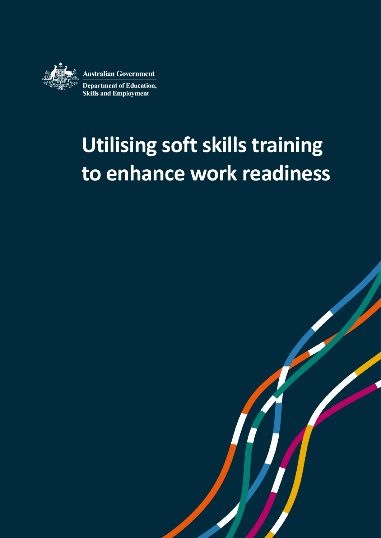

# **Utilising soft skills training to enhance work readiness**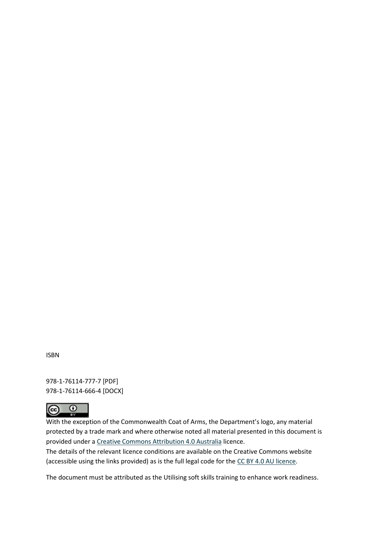ISBN

978-1-76114-777-7 [PDF] 978-1-76114-666-4 [DOCX]



With the exception of the Commonwealth Coat of Arms, the Department's logo, any material protected by a trade mark and where otherwise noted all material presented in this document is provided under a [Creative Commons Attribution 4.0 Australia](https://creativecommons.org/licenses/by/4.0/) licence.

The details of the relevant licence conditions are available on the Creative Commons website (accessible using the links provided) as is the full legal code for th[e CC BY 4.0 AU licence.](https://creativecommons.org/licenses/by/4.0/legalcode)

The document must be attributed as the Utilising soft skills training to enhance work readiness.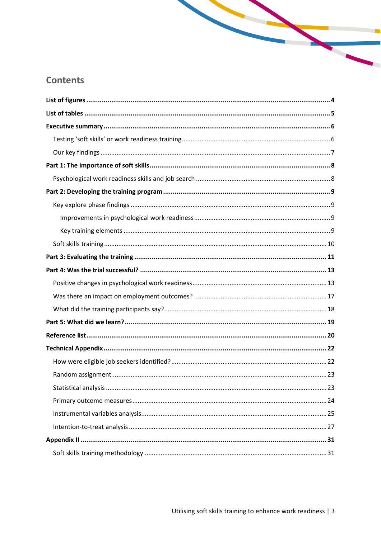## **Contents**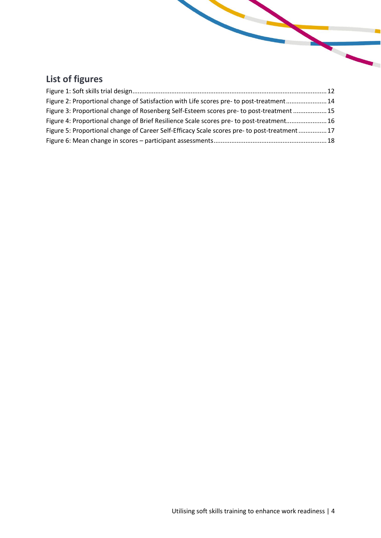# <span id="page-3-0"></span>**List of figures**

| Figure 2: Proportional change of Satisfaction with Life scores pre- to post-treatment14     |  |
|---------------------------------------------------------------------------------------------|--|
| Figure 3: Proportional change of Rosenberg Self-Esteem scores pre- to post-treatment  15    |  |
| Figure 4: Proportional change of Brief Resilience Scale scores pre- to post-treatment 16    |  |
| Figure 5: Proportional change of Career Self-Efficacy Scale scores pre- to post-treatment17 |  |
|                                                                                             |  |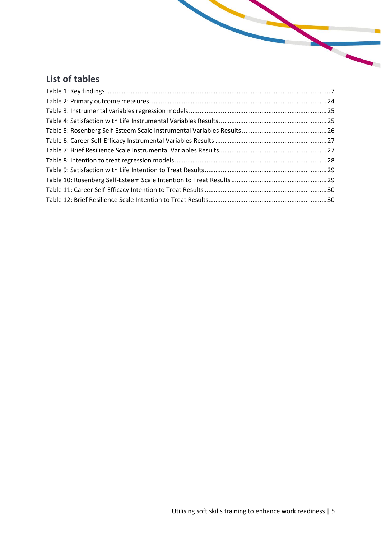## <span id="page-4-0"></span>**List of tables**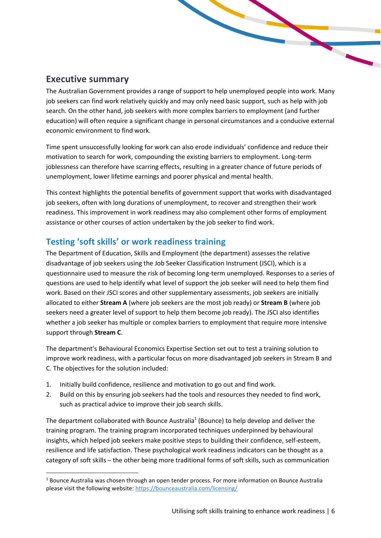## <span id="page-5-0"></span>**Executive summary**

The Australian Government provides a range of support to help unemployed people into work. Many job seekers can find work relatively quickly and may only need basic support, such as help with job search. On the other hand, job seekers with more complex barriers to employment (and further education) will often require a significant change in personal circumstances and a conducive external economic environment to find work.

Time spent unsuccessfully looking for work can also erode individuals' confidence and reduce their motivation to search for work, compounding the existing barriers to employment. Long-term joblessness can therefore have scarring effects, resulting in a greater chance of future periods of unemployment, lower lifetime earnings and poorer physical and mental health.

This context highlights the potential benefits of government support that works with disadvantaged job seekers, often with long durations of unemployment, to recover and strengthen their work readiness. This improvement in work readiness may also complement other forms of employment assistance or other courses of action undertaken by the job seeker to find work.

### <span id="page-5-1"></span>**Testing 'soft skills' or work readiness training**

The Department of Education, Skills and Employment (the department) assesses the relative disadvantage of job seekers using the Job Seeker Classification Instrument (JSCI), which is a questionnaire used to measure the risk of becoming long-term unemployed. Responses to a series of questions are used to help identify what level of support the job seeker will need to help them find work. Based on their JSCI scores and other supplementary assessments, job seekers are initially allocated to either **Stream A** (where job seekers are the most job ready) or **Stream B** (where job seekers need a greater level of support to help them become job ready). The JSCI also identifies whether a job seeker has multiple or complex barriers to employment that require more intensive support through **Stream C**.

The department's Behavioural Economics Expertise Section set out to test a training solution to improve work readiness, with a particular focus on more disadvantaged job seekers in Stream B and C. The objectives for the solution included:

- 1. Initially build confidence, resilience and motivation to go out and find work.
- 2. Build on this by ensuring job seekers had the tools and resources they needed to find work, such as practical advice to improve their job search skills.

The department collaborated with Bounce Australia<sup>1</sup> (Bounce) to help develop and deliver the training program. The training program incorporated techniques underpinned by behavioural insights, which helped job seekers make positive steps to building their confidence, self-esteem, resilience and life satisfaction. These psychological work readiness indicators can be thought as a category of soft skills – the other being more traditional forms of soft skills, such as communication

<sup>1</sup> Bounce Australia was chosen through an open tender process. For more information on Bounce Australia please visit the following website[: https://bounceaustralia.com/licensing/](https://bounceaustralia.com/licensing/)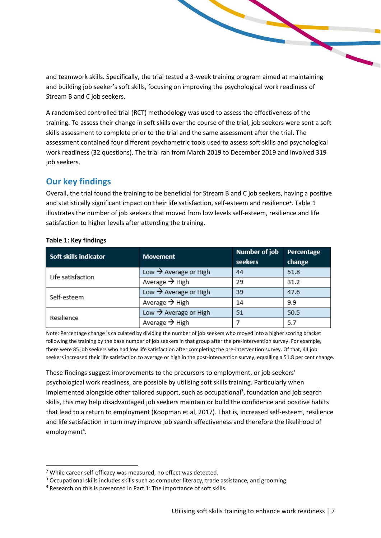and teamwork skills. Specifically, the trial tested a 3-week training program aimed at maintaining and building job seeker's soft skills, focusing on improving the psychological work readiness of Stream B and C job seekers.

A randomised controlled trial (RCT) methodology was used to assess the effectiveness of the training. To assess their change in soft skills over the course of the trial, job seekers were sent a soft skills assessment to complete prior to the trial and the same assessment after the trial. The assessment contained four different psychometric tools used to assess soft skills and psychological work readiness (32 questions). The trial ran from March 2019 to December 2019 and involved 319 job seekers.

## <span id="page-6-0"></span>**Our key findings**

Overall, the trial found the training to be beneficial for Stream B and C job seekers, having a positive and statistically significant impact on their life satisfaction, self-esteem and resilience<sup>2</sup>. Table 1 illustrates the number of job seekers that moved from low levels self-esteem, resilience and life satisfaction to higher levels after attending the training.

| Soft skills indicator | <b>Movement</b>                   | <b>Number of job</b><br>seekers | Percentage<br>change |
|-----------------------|-----------------------------------|---------------------------------|----------------------|
| Life satisfaction     | Low $\rightarrow$ Average or High | 44                              | 51.8                 |
|                       | Average $\rightarrow$ High        | 29                              | 31.2                 |
| Self-esteem           | Low $\rightarrow$ Average or High | 39                              | 47.6                 |
|                       | Average $\rightarrow$ High        | 14                              | 9.9                  |
| Resilience            | Low $\rightarrow$ Average or High | 51                              | 50.5                 |
|                       | Average $\rightarrow$ High        |                                 | 5.7                  |

#### <span id="page-6-1"></span>**Table 1: Key findings**

Note: Percentage change is calculated by dividing the number of job seekers who moved into a higher scoring bracket following the training by the base number of job seekers in that group after the pre-intervention survey. For example, there were 85 job seekers who had low life satisfaction after completing the pre-intervention survey. Of that, 44 job seekers increased their life satisfaction to average or high in the post-intervention survey, equalling a 51.8 per cent change.

These findings suggest improvements to the precursors to employment, or job seekers' psychological work readiness, are possible by utilising soft skills training. Particularly when implemented alongside other tailored support, such as occupational<sup>3</sup>, foundation and job search skills, this may help disadvantaged job seekers maintain or build the confidence and positive habits that lead to a return to employment (Koopman et al, 2017). That is, increased self-esteem, resilience and life satisfaction in turn may improve job search effectiveness and therefore the likelihood of employment<sup>4</sup>.

<sup>2</sup> While career self-efficacy was measured, no effect was detected.

<sup>&</sup>lt;sup>3</sup> Occupational skills includes skills such as computer literacy, trade assistance, and grooming.

<sup>4</sup> Research on this is presented in Part 1: The importance of soft skills.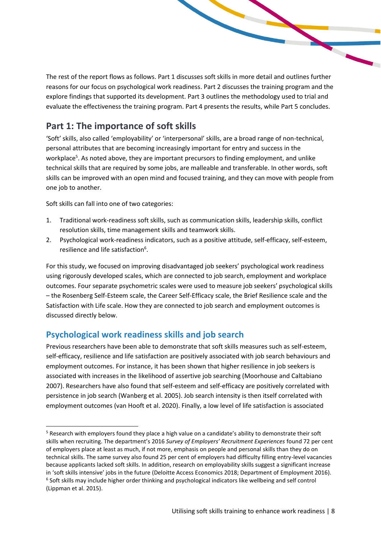The rest of the report flows as follows. Part 1 discusses soft skills in more detail and outlines further reasons for our focus on psychological work readiness. Part 2 discusses the training program and the explore findings that supported its development. Part 3 outlines the methodology used to trial and evaluate the effectiveness the training program. Part 4 presents the results, while Part 5 concludes.

## <span id="page-7-0"></span>**Part 1: The importance of soft skills**

'Soft' skills, also called 'employability' or 'interpersonal' skills, are a broad range of non-technical, personal attributes that are becoming increasingly important for entry and success in the workplace<sup>5</sup>. As noted above, they are important precursors to finding employment, and unlike technical skills that are required by some jobs, are malleable and transferable. In other words, soft skills can be improved with an open mind and focused training, and they can move with people from one job to another.

Soft skills can fall into one of two categories:

- 1. Traditional work-readiness soft skills, such as communication skills, leadership skills, conflict resolution skills, time management skills and teamwork skills.
- 2. Psychological work-readiness indicators, such as a positive attitude, self-efficacy, self-esteem, resilience and life satisfaction<sup>6</sup>.

For this study, we focused on improving disadvantaged job seekers' psychological work readiness using rigorously developed scales, which are connected to job search, employment and workplace outcomes. Four separate psychometric scales were used to measure job seekers' psychological skills – the Rosenberg Self-Esteem scale, the Career Self-Efficacy scale, the Brief Resilience scale and the Satisfaction with Life scale. How they are connected to job search and employment outcomes is discussed directly below.

#### <span id="page-7-1"></span>**Psychological work readiness skills and job search**

Previous researchers have been able to demonstrate that soft skills measures such as self-esteem, self-efficacy, resilience and life satisfaction are positively associated with job search behaviours and employment outcomes. For instance, it has been shown that higher resilience in job seekers is associated with increases in the likelihood of assertive job searching (Moorhouse and Caltabiano 2007). Researchers have also found that self-esteem and self-efficacy are positively correlated with persistence in job search (Wanberg et al. 2005). Job search intensity is then itself correlated with employment outcomes (van Hooft et al. 2020). Finally, a low level of life satisfaction is associated

<sup>&</sup>lt;sup>5</sup> Research with employers found they place a high value on a candidate's ability to demonstrate their soft skills when recruiting. The department's 2016 *Survey of Employers' Recruitment Experiences* found 72 per cent of employers place at least as much, if not more, emphasis on people and personal skills than they do on technical skills. The same survey also found 25 per cent of employers had difficulty filling entry-level vacancies because applicants lacked soft skills. In addition, research on employability skills suggest a significant increase in 'soft skills intensive' jobs in the future (Deloitte Access Economics 2018; Department of Employment 2016). 6 Soft skills may include higher order thinking and psychological indicators like wellbeing and self control (Lippman et al. 2015).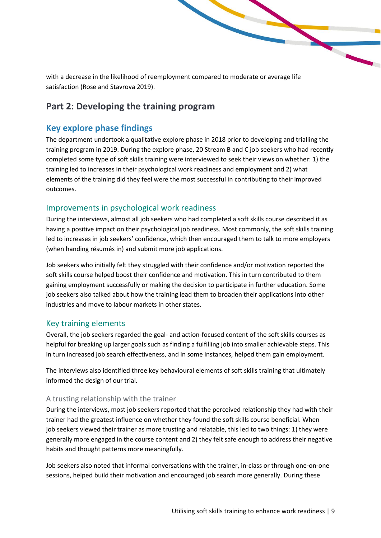with a decrease in the likelihood of reemployment compared to moderate or average life satisfaction (Rose and Stavrova 2019).

## <span id="page-8-0"></span>**Part 2: Developing the training program**

### <span id="page-8-1"></span>**Key explore phase findings**

The department undertook a qualitative explore phase in 2018 prior to developing and trialling the training program in 2019. During the explore phase, 20 Stream B and C job seekers who had recently completed some type of soft skills training were interviewed to seek their views on whether: 1) the training led to increases in their psychological work readiness and employment and 2) what elements of the training did they feel were the most successful in contributing to their improved outcomes.

#### <span id="page-8-2"></span>Improvements in psychological work readiness

During the interviews, almost all job seekers who had completed a soft skills course described it as having a positive impact on their psychological job readiness. Most commonly, the soft skills training led to increases in job seekers' confidence, which then encouraged them to talk to more employers (when handing résumés in) and submit more job applications.

Job seekers who initially felt they struggled with their confidence and/or motivation reported the soft skills course helped boost their confidence and motivation. This in turn contributed to them gaining employment successfully or making the decision to participate in further education. Some job seekers also talked about how the training lead them to broaden their applications into other industries and move to labour markets in other states.

#### <span id="page-8-3"></span>Key training elements

Overall, the job seekers regarded the goal- and action-focused content of the soft skills courses as helpful for breaking up larger goals such as finding a fulfilling job into smaller achievable steps. This in turn increased job search effectiveness, and in some instances, helped them gain employment.

The interviews also identified three key behavioural elements of soft skills training that ultimately informed the design of our trial.

#### A trusting relationship with the trainer

During the interviews, most job seekers reported that the perceived relationship they had with their trainer had the greatest influence on whether they found the soft skills course beneficial. When job seekers viewed their trainer as more trusting and relatable, this led to two things: 1) they were generally more engaged in the course content and 2) they felt safe enough to address their negative habits and thought patterns more meaningfully.

Job seekers also noted that informal conversations with the trainer, in-class or through one-on-one sessions, helped build their motivation and encouraged job search more generally. During these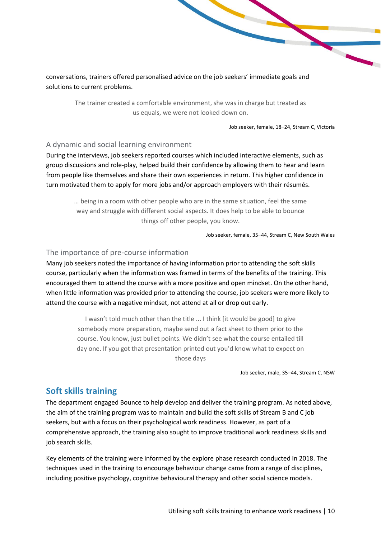conversations, trainers offered personalised advice on the job seekers' immediate goals and solutions to current problems.

> The trainer created a comfortable environment, she was in charge but treated as us equals, we were not looked down on.

> > Job seeker, female, 18–24, Stream C, Victoria

#### A dynamic and social learning environment

During the interviews, job seekers reported courses which included interactive elements, such as group discussions and role-play, helped build their confidence by allowing them to hear and learn from people like themselves and share their own experiences in return. This higher confidence in turn motivated them to apply for more jobs and/or approach employers with their résumés.

… being in a room with other people who are in the same situation, feel the same way and struggle with different social aspects. It does help to be able to bounce things off other people, you know.

Job seeker, female, 35–44, Stream C, New South Wales

#### The importance of pre-course information

Many job seekers noted the importance of having information prior to attending the soft skills course, particularly when the information was framed in terms of the benefits of the training. This encouraged them to attend the course with a more positive and open mindset. On the other hand, when little information was provided prior to attending the course, job seekers were more likely to attend the course with a negative mindset, not attend at all or drop out early.

> I wasn't told much other than the title ... I think [it would be good] to give somebody more preparation, maybe send out a fact sheet to them prior to the course. You know, just bullet points. We didn't see what the course entailed till day one. If you got that presentation printed out you'd know what to expect on those days

> > Job seeker, male, 35–44, Stream C, NSW

#### <span id="page-9-0"></span>**Soft skills training**

The department engaged Bounce to help develop and deliver the training program. As noted above, the aim of the training program was to maintain and build the soft skills of Stream B and C job seekers, but with a focus on their psychological work readiness. However, as part of a comprehensive approach, the training also sought to improve traditional work readiness skills and job search skills.

Key elements of the training were informed by the explore phase research conducted in 2018. The techniques used in the training to encourage behaviour change came from a range of disciplines, including positive psychology, cognitive behavioural therapy and other social science models.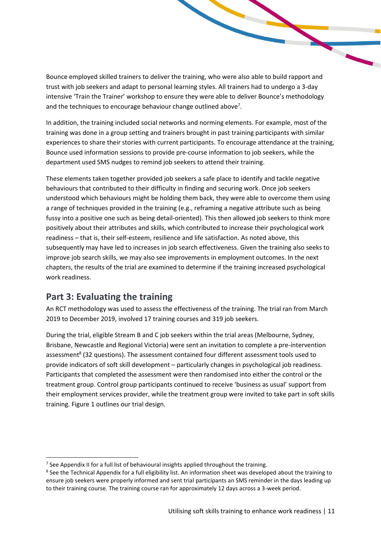Bounce employed skilled trainers to deliver the training, who were also able to build rapport and trust with job seekers and adapt to personal learning styles. All trainers had to undergo a 3-day intensive 'Train the Trainer' workshop to ensure they were able to deliver Bounce's methodology and the techniques to encourage behaviour change outlined above<sup>7</sup>.

In addition, the training included social networks and norming elements. For example, most of the training was done in a group setting and trainers brought in past training participants with similar experiences to share their stories with current participants. To encourage attendance at the training, Bounce used information sessions to provide pre-course information to job seekers, while the department used SMS nudges to remind job seekers to attend their training.

These elements taken together provided job seekers a safe place to identify and tackle negative behaviours that contributed to their difficulty in finding and securing work. Once job seekers understood which behaviours might be holding them back, they were able to overcome them using a range of techniques provided in the training (e.g., reframing a negative attribute such as being fussy into a positive one such as being detail-oriented). This then allowed job seekers to think more positively about their attributes and skills, which contributed to increase their psychological work readiness – that is, their self-esteem, resilience and life satisfaction. As noted above, this subsequently may have led to increases in job search effectiveness. Given the training also seeks to improve job search skills, we may also see improvements in employment outcomes. In the next chapters, the results of the trial are examined to determine if the training increased psychological work readiness.

## <span id="page-10-0"></span>**Part 3: Evaluating the training**

An RCT methodology was used to assess the effectiveness of the training. The trial ran from March 2019 to December 2019, involved 17 training courses and 319 job seekers.

During the trial, eligible Stream B and C job seekers within the trial areas (Melbourne, Sydney, Brisbane, Newcastle and Regional Victoria) were sent an invitation to complete a pre-intervention assessment<sup>8</sup> (32 questions). The assessment contained four different assessment tools used to provide indicators of soft skill development – particularly changes in psychological job readiness. Participants that completed the assessment were then randomised into either the control or the treatment group. Control group participants continued to receive 'business as usual' support from their employment services provider, while the treatment group were invited to take part in soft skills training. Figure 1 outlines our trial design.

 $<sup>7</sup>$  See Appendix II for a full list of behavioural insights applied throughout the training.</sup>

<sup>&</sup>lt;sup>8</sup> See the Technical Appendix for a full eligibility list. An information sheet was developed about the training to ensure job seekers were properly informed and sent trial participants an SMS reminder in the days leading up to their training course. The training course ran for approximately 12 days across a 3-week period.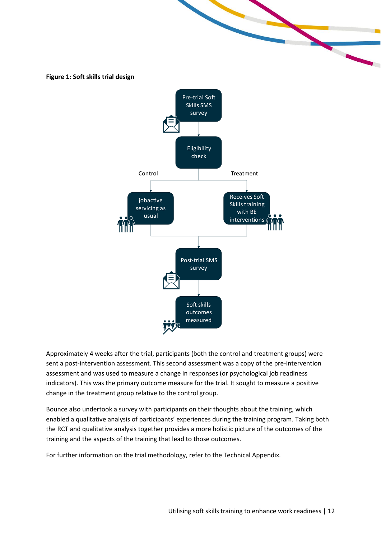<span id="page-11-0"></span>

Approximately 4 weeks after the trial, participants (both the control and treatment groups) were sent a post-intervention assessment. This second assessment was a copy of the pre-intervention assessment and was used to measure a change in responses (or psychological job readiness indicators). This was the primary outcome measure for the trial. It sought to measure a positive change in the treatment group relative to the control group.

Bounce also undertook a survey with participants on their thoughts about the training, which enabled a qualitative analysis of participants' experiences during the training program. Taking both the RCT and qualitative analysis together provides a more holistic picture of the outcomes of the training and the aspects of the training that lead to those outcomes.

For further information on the trial methodology, refer to the Technical Appendix.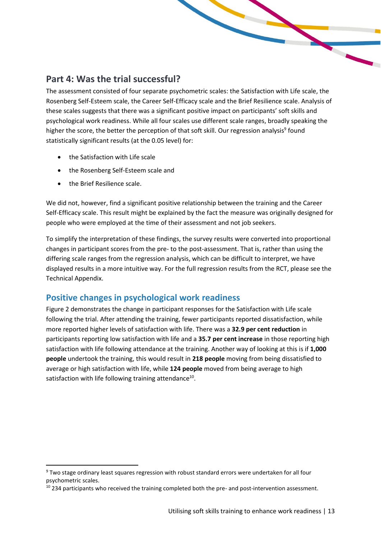## <span id="page-12-0"></span>**Part 4: Was the trial successful?**

The assessment consisted of four separate psychometric scales: the Satisfaction with Life scale, the Rosenberg Self-Esteem scale, the Career Self-Efficacy scale and the Brief Resilience scale. Analysis of these scales suggests that there was a significant positive impact on participants' soft skills and psychological work readiness. While all four scales use different scale ranges, broadly speaking the higher the score, the better the perception of that soft skill. Our regression analysis<sup>9</sup> found statistically significant results (at the 0.05 level) for:

- the Satisfaction with Life scale
- the Rosenberg Self-Esteem scale and
- the Brief Resilience scale.

We did not, however, find a significant positive relationship between the training and the Career Self-Efficacy scale. This result might be explained by the fact the measure was originally designed for people who were employed at the time of their assessment and not job seekers.

To simplify the interpretation of these findings, the survey results were converted into proportional changes in participant scores from the pre- to the post-assessment. That is, rather than using the differing scale ranges from the regression analysis, which can be difficult to interpret, we have displayed results in a more intuitive way. For the full regression results from the RCT, please see the Technical Appendix.

## <span id="page-12-1"></span>**Positive changes in psychological work readiness**

Figure 2 demonstrates the change in participant responses for the Satisfaction with Life scale following the trial. After attending the training, fewer participants reported dissatisfaction, while more reported higher levels of satisfaction with life. There was a **32.9 per cent reduction** in participants reporting low satisfaction with life and a **35.7 per cent increase** in those reporting high satisfaction with life following attendance at the training. Another way of looking at this is if **1,000 people** undertook the training, this would result in **218 people** moving from being dissatisfied to average or high satisfaction with life, while **124 people** moved from being average to high satisfaction with life following training attendance<sup>10</sup>.

<sup>9</sup> Two stage ordinary least squares regression with robust standard errors were undertaken for all four psychometric scales.

<sup>&</sup>lt;sup>10</sup> 234 participants who received the training completed both the pre- and post-intervention assessment.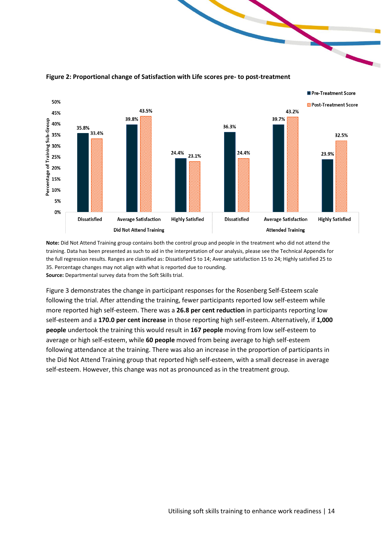

<span id="page-13-0"></span>**Figure 2: Proportional change of Satisfaction with Life scores pre- to post-treatment**

**Note:** Did Not Attend Training group contains both the control group and people in the treatment who did not attend the training. Data has been presented as such to aid in the interpretation of our analysis, please see the Technical Appendix for the full regression results. Ranges are classified as: Dissatisfied 5 to 14; Average satisfaction 15 to 24; Highly satisfied 25 to 35. Percentage changes may not align with what is reported due to rounding. **Source:** Departmental survey data from the Soft Skills trial.

Figure 3 demonstrates the change in participant responses for the Rosenberg Self-Esteem scale following the trial. After attending the training, fewer participants reported low self-esteem while more reported high self-esteem. There was a **26.8 per cent reduction** in participants reporting low self-esteem and a **170.0 per cent increase** in those reporting high self-esteem. Alternatively, if **1,000 people** undertook the training this would result in **167 people** moving from low self-esteem to average or high self-esteem, while **60 people** moved from being average to high self-esteem following attendance at the training. There was also an increase in the proportion of participants in the Did Not Attend Training group that reported high self-esteem, with a small decrease in average self-esteem. However, this change was not as pronounced as in the treatment group.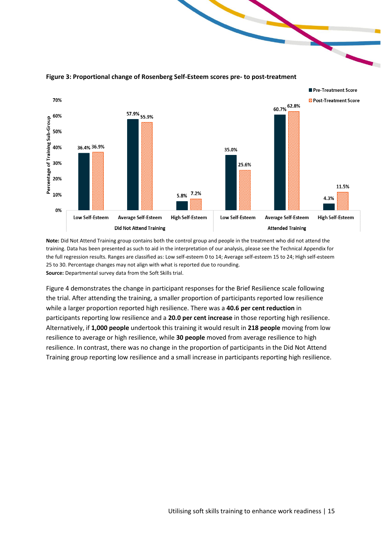

#### <span id="page-14-0"></span>**Figure 3: Proportional change of Rosenberg Self-Esteem scores pre- to post-treatment**

**Note:** Did Not Attend Training group contains both the control group and people in the treatment who did not attend the training. Data has been presented as such to aid in the interpretation of our analysis, please see the Technical Appendix for the full regression results. Ranges are classified as: Low self-esteem 0 to 14; Average self-esteem 15 to 24; High self-esteem 25 to 30. Percentage changes may not align with what is reported due to rounding. **Source:** Departmental survey data from the Soft Skills trial.

Figure 4 demonstrates the change in participant responses for the Brief Resilience scale following the trial. After attending the training, a smaller proportion of participants reported low resilience while a larger proportion reported high resilience. There was a **40.6 per cent reduction** in participants reporting low resilience and a **20.0 per cent increase** in those reporting high resilience. Alternatively, if **1,000 people** undertook this training it would result in **218 people** moving from low resilience to average or high resilience, while **30 people** moved from average resilience to high resilience. In contrast, there was no change in the proportion of participants in the Did Not Attend Training group reporting low resilience and a small increase in participants reporting high resilience.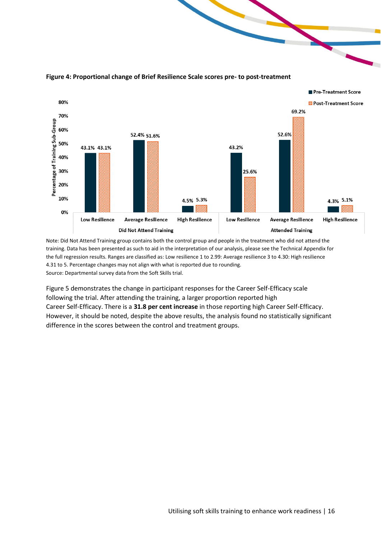

#### <span id="page-15-0"></span>**Figure 4: Proportional change of Brief Resilience Scale scores pre- to post-treatment**

Note: Did Not Attend Training group contains both the control group and people in the treatment who did not attend the training. Data has been presented as such to aid in the interpretation of our analysis, please see the Technical Appendix for the full regression results. Ranges are classified as: Low resilience 1 to 2.99: Average resilience 3 to 4.30: High resilience 4.31 to 5. Percentage changes may not align with what is reported due to rounding. Source: Departmental survey data from the Soft Skills trial.

Figure 5 demonstrates the change in participant responses for the Career Self-Efficacy scale following the trial. After attending the training, a larger proportion reported high Career Self-Efficacy. There is a **31.8 per cent increase** in those reporting high Career Self-Efficacy. However, it should be noted, despite the above results, the analysis found no statistically significant difference in the scores between the control and treatment groups.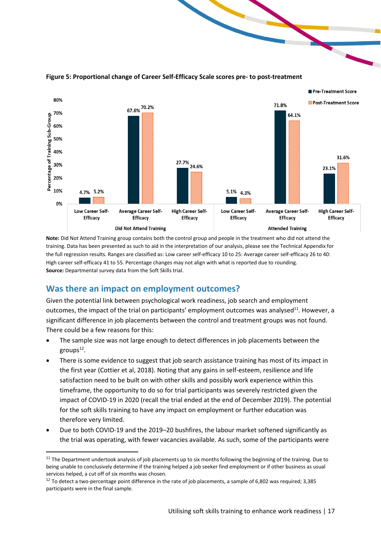

<span id="page-16-1"></span>**Figure 5: Proportional change of Career Self-Efficacy Scale scores pre- to post-treatment**

**Note:** Did Not Attend Training group contains both the control group and people in the treatment who did not attend the training. Data has been presented as such to aid in the interpretation of our analysis, please see the Technical Appendix for the full regression results. Ranges are classified as: Low career self-efficacy 10 to 25: Average career self-efficacy 26 to 40: High career self-efficacy 41 to 55. Percentage changes may not align with what is reported due to rounding. **Source:** Departmental survey data from the Soft Skills trial.

#### <span id="page-16-0"></span>**Was there an impact on employment outcomes?**

Given the potential link between psychological work readiness, job search and employment outcomes, the impact of the trial on participants' employment outcomes was analysed<sup>11</sup>. However, a significant difference in job placements between the control and treatment groups was not found. There could be a few reasons for this:

- The sample size was not large enough to detect differences in job placements between the groups<sup>12</sup>.
- There is some evidence to suggest that job search assistance training has most of its impact in the first year (Cottier et al, 2018). Noting that any gains in self-esteem, resilience and life satisfaction need to be built on with other skills and possibly work experience within this timeframe, the opportunity to do so for trial participants was severely restricted given the impact of COVID-19 in 2020 (recall the trial ended at the end of December 2019). The potential for the soft skills training to have any impact on employment or further education was therefore very limited.
- Due to both COVID-19 and the 2019–20 bushfires, the labour market softened significantly as the trial was operating, with fewer vacancies available. As such, some of the participants were

 $11$  The Department undertook analysis of job placements up to six months following the beginning of the training. Due to being unable to conclusively determine if the training helped a job seeker find employment or if other business as usual services helped, a cut off of six months was chosen.

 $12$  To detect a two-percentage point difference in the rate of job placements, a sample of 6,802 was required; 3,385 participants were in the final sample.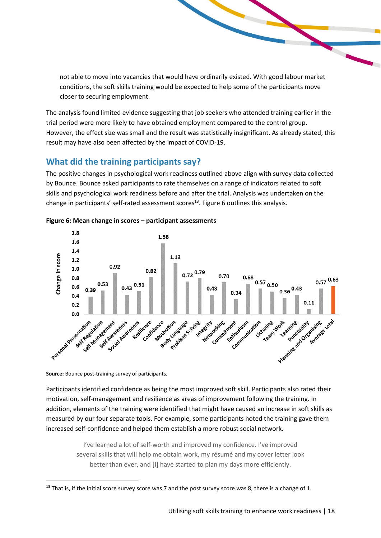not able to move into vacancies that would have ordinarily existed. With good labour market conditions, the soft skills training would be expected to help some of the participants move closer to securing employment.

The analysis found limited evidence suggesting that job seekers who attended training earlier in the trial period were more likely to have obtained employment compared to the control group. However, the effect size was small and the result was statistically insignificant. As already stated, this result may have also been affected by the impact of COVID-19.

## <span id="page-17-0"></span>**What did the training participants say?**

The positive changes in psychological work readiness outlined above align with survey data collected by Bounce. Bounce asked participants to rate themselves on a range of indicators related to soft skills and psychological work readiness before and after the trial. Analysis was undertaken on the change in participants' self-rated assessment scores<sup>13</sup>. Figure 6 outlines this analysis.



#### <span id="page-17-1"></span>**Figure 6: Mean change in scores – participant assessments**

**Source:** Bounce post-training survey of participants.

Participants identified confidence as being the most improved soft skill. Participants also rated their motivation, self-management and resilience as areas of improvement following the training. In addition, elements of the training were identified that might have caused an increase in soft skills as measured by our four separate tools. For example, some participants noted the training gave them increased self-confidence and helped them establish a more robust social network.

> I've learned a lot of self-worth and improved my confidence. I've improved several skills that will help me obtain work, my résumé and my cover letter look better than ever, and [I] have started to plan my days more efficiently.

 $13$  That is, if the initial score survey score was 7 and the post survey score was 8, there is a change of 1.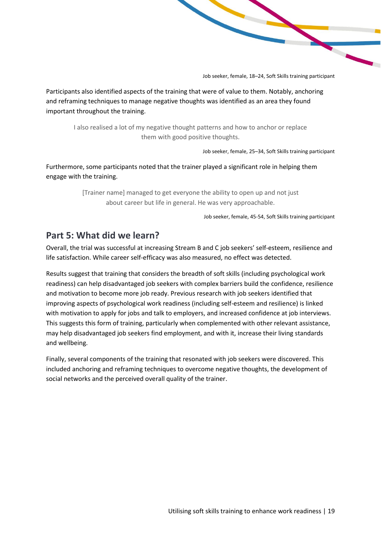Job seeker, female, 18–24, Soft Skills training participant

Participants also identified aspects of the training that were of value to them. Notably, anchoring and reframing techniques to manage negative thoughts was identified as an area they found important throughout the training.

I also realised a lot of my negative thought patterns and how to anchor or replace them with good positive thoughts.

Job seeker, female, 25–34, Soft Skills training participant

Furthermore, some participants noted that the trainer played a significant role in helping them engage with the training.

> [Trainer name] managed to get everyone the ability to open up and not just about career but life in general. He was very approachable.

> > Job seeker, female, 45-54, Soft Skills training participant

## <span id="page-18-0"></span>**Part 5: What did we learn?**

Overall, the trial was successful at increasing Stream B and C job seekers' self-esteem, resilience and life satisfaction. While career self-efficacy was also measured, no effect was detected.

Results suggest that training that considers the breadth of soft skills (including psychological work readiness) can help disadvantaged job seekers with complex barriers build the confidence, resilience and motivation to become more job ready. Previous research with job seekers identified that improving aspects of psychological work readiness (including self-esteem and resilience) is linked with motivation to apply for jobs and talk to employers, and increased confidence at job interviews. This suggests this form of training, particularly when complemented with other relevant assistance, may help disadvantaged job seekers find employment, and with it, increase their living standards and wellbeing.

Finally, several components of the training that resonated with job seekers were discovered. This included anchoring and reframing techniques to overcome negative thoughts, the development of social networks and the perceived overall quality of the trainer.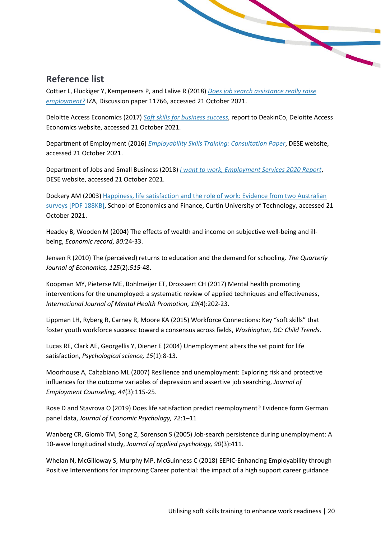## <span id="page-19-0"></span>**Reference list**

Cottier L, Flückiger Y, Kempeneers P, and Lalive R (2018) *[Does job search assistance really raise](https://papers.ssrn.com/sol3/papers.cfm?abstract_id=3249880)  [employment?](https://papers.ssrn.com/sol3/papers.cfm?abstract_id=3249880)* IZA, Discussion paper 11766, accessed 21 October 2021.

Deloitte Access Economics (2017) *[Soft skills for business success](https://www2.deloitte.com/au/en/pages/economics/articles/soft-skills-business-success.html)*, report to DeakinCo, Deloitte Access Economics website, accessed 21 October 2021.

Department of Employment (2016) *[Employability Skills Training: Consultation Paper](https://sharedservicescentre.sharepoint.com/sites/DESE-AppliedandBehaviouralEconomics-TEAM/Shared%20Documents/Soft%20Skills/Reports/Department%20of%20Employment%20(2016)%20Employability%20Skills%20Training:%20Consultation%20Paper.%20Canberra,%20Australia.)*, DESE website, accessed 21 October 2021.

Department of Jobs and Small Business (2018) *I want [to work, Employment Services 2020 Report](https://www.dese.gov.au/new-employment-services-model/resources/i-want-work)*, DESE website, accessed 21 October 2021.

Dockery AM (2003) [Happiness, life satisfaction and the role of work: Evidence from two Australian](https://www.researchgate.net/profile/Alfred-Dockery/publication/228848009_Happiness_Life_Satisfaction_and_the_Role_of_Work_Evidence_from_Two_Australian_Surveys/links/02e7e51dcba1641d69000000/Happiness-Life-Satisfaction-and-the-Role-of-Work-Evidence-from-Two-Australian-Surveys.pdf)  [surveys \[PDF 188KB\],](https://www.researchgate.net/profile/Alfred-Dockery/publication/228848009_Happiness_Life_Satisfaction_and_the_Role_of_Work_Evidence_from_Two_Australian_Surveys/links/02e7e51dcba1641d69000000/Happiness-Life-Satisfaction-and-the-Role-of-Work-Evidence-from-Two-Australian-Surveys.pdf) School of Economics and Finance, Curtin University of Technology, accessed 21 October 2021.

Headey B, Wooden M (2004) The effects of wealth and income on subjective well-being and illbeing, *Economic record*, *80:*24-33.

Jensen R (2010) The (perceived) returns to education and the demand for schooling. *The Quarterly Journal of Economics, 125*(2)*:515*-48.

Koopman MY, Pieterse ME, Bohlmeijer ET, Drossaert CH (2017) Mental health promoting interventions for the unemployed: a systematic review of applied techniques and effectiveness, *International Journal of Mental Health Promotion, 19*(4):202-23.

Lippman LH, Ryberg R, Carney R, Moore KA (2015) Workforce Connections: Key "soft skills" that foster youth workforce success: toward a consensus across fields, *Washington, DC: Child Trends*.

Lucas RE, Clark AE, Georgellis Y, Diener E (2004) Unemployment alters the set point for life satisfaction, *Psychological science, 15*(1):8-13.

Moorhouse A, Caltabiano ML (2007) Resilience and unemployment: Exploring risk and protective influences for the outcome variables of depression and assertive job searching, *Journal of Employment Counseling, 44*(3):115-25.

Rose D and Stavrova O (2019) Does life satisfaction predict reemployment? Evidence form German panel data, *Journal of Economic Psychology, 72*:1–11

Wanberg CR, Glomb TM, Song Z, Sorenson S (2005) Job-search persistence during unemployment: A 10-wave longitudinal study, *Journal of applied psychology, 90*(3):411.

Whelan N, McGilloway S, Murphy MP, McGuinness C (2018) EEPIC-Enhancing Employability through Positive Interventions for improving Career potential: the impact of a high support career guidance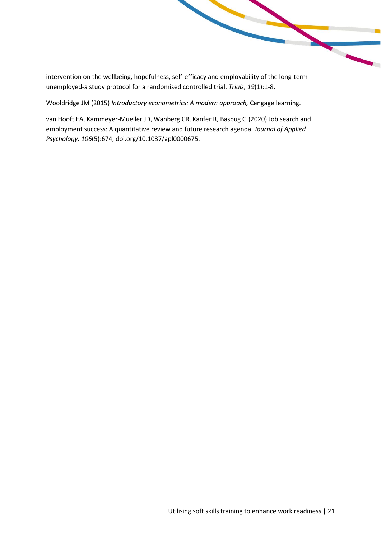intervention on the wellbeing, hopefulness, self-efficacy and employability of the long-term unemployed-a study protocol for a randomised controlled trial. *Trials, 19*(1):1-8.

Wooldridge JM (2015) *Introductory econometrics: A modern approach,* Cengage learning.

van Hooft EA, Kammeyer-Mueller JD, Wanberg CR, Kanfer R, Basbug G (2020) Job search and employment success: A quantitative review and future research agenda. *Journal of Applied Psychology, 106*(5):674, doi.org/10.1037/apl0000675.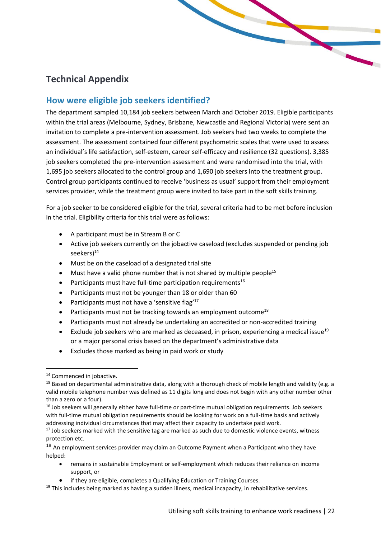## <span id="page-21-0"></span>**Technical Appendix**

### <span id="page-21-1"></span>**How were eligible job seekers identified?**

The department sampled 10,184 job seekers between March and October 2019. Eligible participants within the trial areas (Melbourne, Sydney, Brisbane, Newcastle and Regional Victoria) were sent an invitation to complete a pre-intervention assessment. Job seekers had two weeks to complete the assessment. The assessment contained four different psychometric scales that were used to assess an individual's life satisfaction, self-esteem, career self-efficacy and resilience (32 questions). 3,385 job seekers completed the pre-intervention assessment and were randomised into the trial, with 1,695 job seekers allocated to the control group and 1,690 job seekers into the treatment group. Control group participants continued to receive 'business as usual' support from their employment services provider, while the treatment group were invited to take part in the soft skills training.

For a job seeker to be considered eligible for the trial, several criteria had to be met before inclusion in the trial. Eligibility criteria for this trial were as follows:

- A participant must be in Stream B or C
- Active job seekers currently on the jobactive caseload (excludes suspended or pending job seekers)<sup>14</sup>
- Must be on the caseload of a designated trial site
- Must have a valid phone number that is not shared by multiple people<sup>15</sup>
- Participants must have full-time participation requirements<sup>16</sup>
- Participants must not be younger than 18 or older than 60
- Participants must not have a 'sensitive flag'<sup>17</sup>
- Participants must not be tracking towards an employment outcome<sup>18</sup>
- Participants must not already be undertaking an accredited or non-accredited training
- Exclude job seekers who are marked as deceased, in prison, experiencing a medical issue<sup>19</sup> or a major personal crisis based on the department's administrative data
- Excludes those marked as being in paid work or study

- remains in sustainable Employment or self-employment which reduces their reliance on income support, or
- if they are eligible, completes a Qualifying Education or Training Courses.

<sup>&</sup>lt;sup>14</sup> Commenced in jobactive.

<sup>&</sup>lt;sup>15</sup> Based on departmental administrative data, along with a thorough check of mobile length and validity (e.g. a valid mobile telephone number was defined as 11 digits long and does not begin with any other number other than a zero or a four).

<sup>&</sup>lt;sup>16</sup> Job seekers will generally either have full-time or part-time mutual obligation requirements. Job seekers with full-time mutual obligation requirements should be looking for work on a full-time basis and actively addressing individual circumstances that may affect their capacity to undertake paid work.

 $17$  Job seekers marked with the sensitive tag are marked as such due to domestic violence events, witness protection etc.

<sup>&</sup>lt;sup>18</sup> An employment services provider may claim an Outcome Payment when a Participant who they have helped:

 $19$  This includes being marked as having a sudden illness, medical incapacity, in rehabilitative services.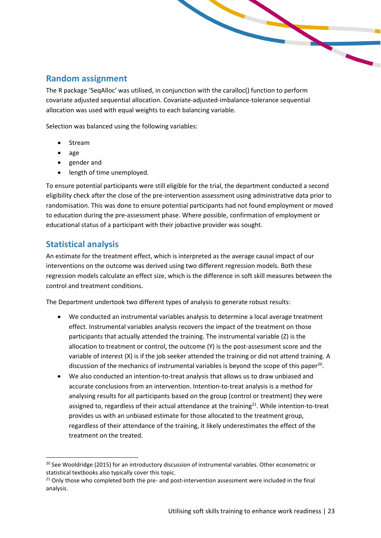#### <span id="page-22-0"></span>**Random assignment**

The R package 'SeqAlloc' was utilised, in conjunction with the caralloc() function to perform covariate adjusted sequential allocation. Covariate-adjusted-imbalance-tolerance sequential allocation was used with equal weights to each balancing variable.

Selection was balanced using the following variables:

- Stream
- age
- gender and
- length of time unemployed.

To ensure potential participants were still eligible for the trial, the department conducted a second eligibility check after the close of the pre-intervention assessment using administrative data prior to randomisation. This was done to ensure potential participants had not found employment or moved to education during the pre-assessment phase. Where possible, confirmation of employment or educational status of a participant with their jobactive provider was sought.

#### <span id="page-22-1"></span>**Statistical analysis**

An estimate for the treatment effect, which is interpreted as the average causal impact of our interventions on the outcome was derived using two different regression models. Both these regression models calculate an effect size, which is the difference in soft skill measures between the control and treatment conditions.

The Department undertook two different types of analysis to generate robust results:

- We conducted an instrumental variables analysis to determine a local average treatment effect. Instrumental variables analysis recovers the impact of the treatment on those participants that actually attended the training. The instrumental variable (Z) is the allocation to treatment or control, the outcome (Y) is the post-assessment score and the variable of interest (X) is if the job seeker attended the training or did not attend training. A discussion of the mechanics of instrumental variables is beyond the scope of this paper<sup>20</sup>.
- We also conducted an intention-to-treat analysis that allows us to draw unbiased and accurate conclusions from an intervention. Intention-to-treat analysis is a method for analysing results for all participants based on the group (control or treatment) they were assigned to, regardless of their actual attendance at the training<sup>21</sup>. While intention-to-treat provides us with an unbiased estimate for those allocated to the treatment group, regardless of their attendance of the training, it likely underestimates the effect of the treatment on the treated.

<sup>&</sup>lt;sup>20</sup> See Wooldridge (2015) for an introductory discussion of instrumental variables. Other econometric or statistical textbooks also typically cover this topic.

 $21$  Only those who completed both the pre- and post-intervention assessment were included in the final analysis.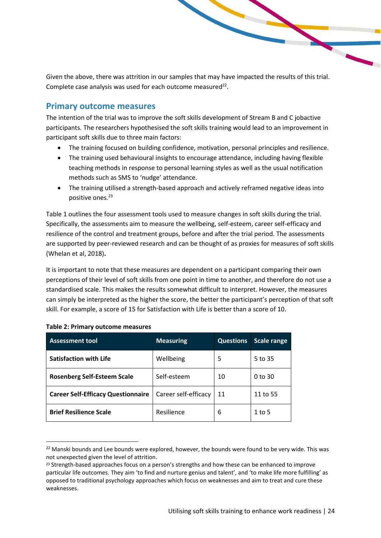Given the above, there was attrition in our samples that may have impacted the results of this trial. Complete case analysis was used for each outcome measured $^{22}$ .

#### <span id="page-23-0"></span>**Primary outcome measures**

The intention of the trial was to improve the soft skills development of Stream B and C jobactive participants. The researchers hypothesised the soft skills training would lead to an improvement in participant soft skills due to three main factors:

- The training focused on building confidence, motivation, personal principles and resilience.
- The training used behavioural insights to encourage attendance, including having flexible teaching methods in response to personal learning styles as well as the usual notification methods such as SMS to 'nudge' attendance.
- The training utilised a strength-based approach and actively reframed negative ideas into positive ones.<sup>23</sup>

Table 1 outlines the four assessment tools used to measure changes in soft skills during the trial. Specifically, the assessments aim to measure the wellbeing, self-esteem, career self-efficacy and resilience of the control and treatment groups, before and after the trial period. The assessments are supported by peer-reviewed research and can be thought of as proxies for measures of soft skills (Whelan et al, 2018)**.**

It is important to note that these measures are dependent on a participant comparing their own perceptions of their level of soft skills from one point in time to another, and therefore do not use a standardised scale. This makes the results somewhat difficult to interpret. However, the measures can simply be interpreted as the higher the score, the better the participant's perception of that soft skill. For example, a score of 15 for Satisfaction with Life is better than a score of 10.

| <b>Assessment tool</b>                    | <b>Measuring</b>     | <b>Questions</b> | Scale range        |
|-------------------------------------------|----------------------|------------------|--------------------|
| <b>Satisfaction with Life</b>             | Wellbeing            | 5                | 5 to 35            |
| <b>Rosenberg Self-Esteem Scale</b>        | Self-esteem          | 10               | 0 <sub>to</sub> 30 |
| <b>Career Self-Efficacy Questionnaire</b> | Career self-efficacy | 11               | 11 to 55           |
| <b>Brief Resilience Scale</b>             | Resilience           | 6                | 1 to 5             |

#### <span id="page-23-1"></span>**Table 2: Primary outcome measures**

<sup>&</sup>lt;sup>22</sup> Manski bounds and Lee bounds were explored, however, the bounds were found to be very wide. This was not unexpected given the level of attrition.

<sup>&</sup>lt;sup>23</sup> Strength-based approaches focus on a person's strengths and how these can be enhanced to improve particular life outcomes. They aim 'to find and nurture genius and talent', and 'to make life more fulfilling' as opposed to traditional psychology approaches which focus on weaknesses and aim to treat and cure these weaknesses.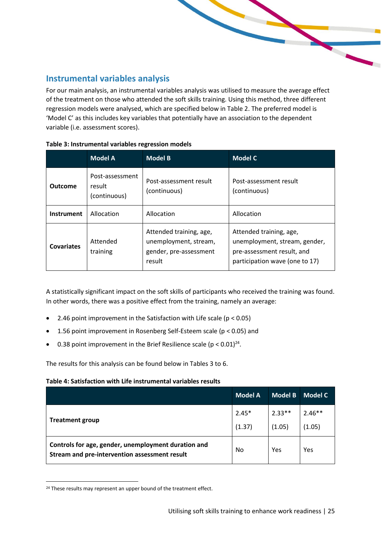#### <span id="page-24-0"></span>**Instrumental variables analysis**

For our main analysis, an instrumental variables analysis was utilised to measure the average effect of the treatment on those who attended the soft skills training. Using this method, three different regression models were analysed, which are specified below in Table 2. The preferred model is 'Model C' as this includes key variables that potentially have an association to the dependent variable (i.e. assessment scores).

|                   | <b>Model A</b>                            | <b>Model B</b>                                                                       | <b>Model C</b>                                                                                                           |
|-------------------|-------------------------------------------|--------------------------------------------------------------------------------------|--------------------------------------------------------------------------------------------------------------------------|
| <b>Outcome</b>    | Post-assessment<br>result<br>(continuous) | Post-assessment result<br>(continuous)                                               | Post-assessment result<br>(continuous)                                                                                   |
| Instrument        | Allocation                                | Allocation                                                                           | Allocation                                                                                                               |
| <b>Covariates</b> | Attended<br>training                      | Attended training, age,<br>unemployment, stream,<br>gender, pre-assessment<br>result | Attended training, age,<br>unemployment, stream, gender,<br>pre-assessment result, and<br>participation wave (one to 17) |

<span id="page-24-1"></span>

| Table 3: Instrumental variables regression models |  |  |  |
|---------------------------------------------------|--|--|--|
|---------------------------------------------------|--|--|--|

A statistically significant impact on the soft skills of participants who received the training was found. In other words, there was a positive effect from the training, namely an average:

- 2.46 point improvement in the Satisfaction with Life scale (p < 0.05)
- 1.56 point improvement in Rosenberg Self-Esteem scale (p < 0.05) and
- 0.38 point improvement in the Brief Resilience scale ( $p < 0.01$ )<sup>24</sup>.

The results for this analysis can be found below in Tables 3 to 6.

#### <span id="page-24-2"></span>**Table 4: Satisfaction with Life instrumental variables results**

|                                                                                                      | <b>Model A</b> | <b>Model B</b> | Model C  |
|------------------------------------------------------------------------------------------------------|----------------|----------------|----------|
|                                                                                                      | $2.45*$        | $2.33**$       | $2.46**$ |
| <b>Treatment group</b>                                                                               | (1.37)         | (1.05)         | (1.05)   |
| Controls for age, gender, unemployment duration and<br>Stream and pre-intervention assessment result | No             | Yes            | Yes      |

<sup>&</sup>lt;sup>24</sup> These results may represent an upper bound of the treatment effect.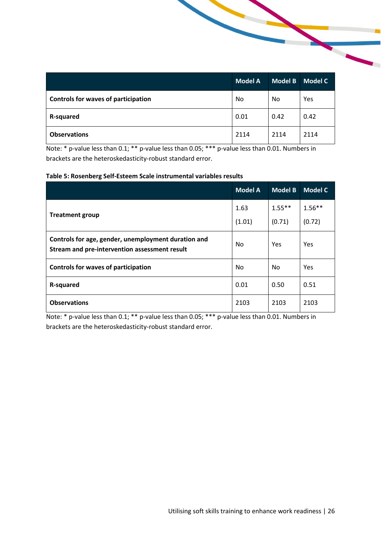|                                     | <b>Model A</b> | <b>Model B</b> | Model C |
|-------------------------------------|----------------|----------------|---------|
| Controls for waves of participation | No             | No             | Yes     |
| <b>R-squared</b>                    | 0.01           | 0.42           | 0.42    |
| <b>Observations</b>                 | 2114           | 2114           | 2114    |

Note: \* p-value less than 0.1; \*\* p-value less than 0.05; \*\*\* p-value less than 0.01. Numbers in brackets are the heteroskedasticity-robust standard error.

#### <span id="page-25-0"></span>**Table 5: Rosenberg Self-Esteem Scale instrumental variables results**

|                                                                                                      | <b>Model A</b> | <b>Model B</b> | <b>Model C</b> |
|------------------------------------------------------------------------------------------------------|----------------|----------------|----------------|
|                                                                                                      | 1.63           | $1.55***$      | $1.56**$       |
| <b>Treatment group</b>                                                                               | (1.01)         | (0.71)         | (0.72)         |
| Controls for age, gender, unemployment duration and<br>Stream and pre-intervention assessment result | No.            | Yes            | Yes            |
| <b>Controls for waves of participation</b>                                                           | No             | No.            | Yes            |
| R-squared                                                                                            | 0.01           | 0.50           | 0.51           |
| <b>Observations</b>                                                                                  | 2103           | 2103           | 2103           |

Note: \* p-value less than 0.1; \*\* p-value less than 0.05; \*\*\* p-value less than 0.01. Numbers in brackets are the heteroskedasticity-robust standard error.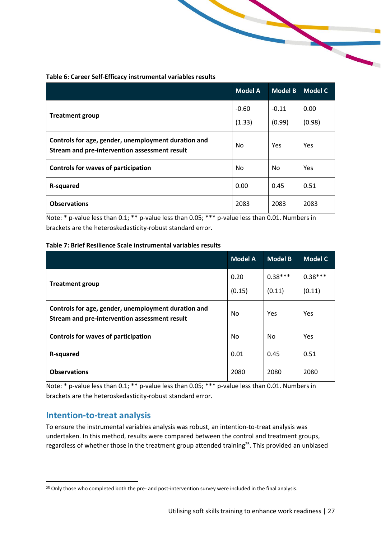<span id="page-26-1"></span>**Table 6: Career Self-Efficacy instrumental variables results**

|                                                                                                      | <b>Model A</b> | <b>Model B</b> | <b>Model C</b> |
|------------------------------------------------------------------------------------------------------|----------------|----------------|----------------|
|                                                                                                      | $-0.60$        | $-0.11$        | 0.00           |
| <b>Treatment group</b>                                                                               | (1.33)         | (0.99)         | (0.98)         |
| Controls for age, gender, unemployment duration and<br>Stream and pre-intervention assessment result | No             | Yes            | Yes            |
| <b>Controls for waves of participation</b>                                                           | No             | <b>No</b>      | Yes            |
| R-squared                                                                                            | 0.00           | 0.45           | 0.51           |
| <b>Observations</b>                                                                                  | 2083           | 2083           | 2083           |

Note: \* p-value less than 0.1; \*\* p-value less than 0.05; \*\*\* p-value less than 0.01. Numbers in brackets are the heteroskedasticity-robust standard error.

<span id="page-26-2"></span>

|  | Table 7: Brief Resilience Scale instrumental variables results |
|--|----------------------------------------------------------------|
|--|----------------------------------------------------------------|

|                                                                                                      | <b>Model A</b> | <b>Model B</b> | Model C   |
|------------------------------------------------------------------------------------------------------|----------------|----------------|-----------|
| <b>Treatment group</b>                                                                               | 0.20           | $0.38***$      | $0.38***$ |
|                                                                                                      | (0.15)         | (0.11)         | (0.11)    |
| Controls for age, gender, unemployment duration and<br>Stream and pre-intervention assessment result | No             | Yes            | Yes       |
| <b>Controls for waves of participation</b>                                                           | No             | No             | Yes       |
| <b>R-squared</b>                                                                                     | 0.01           | 0.45           | 0.51      |
| <b>Observations</b>                                                                                  | 2080           | 2080           | 2080      |

Note: \* p-value less than 0.1; \*\* p-value less than 0.05; \*\*\* p-value less than 0.01. Numbers in brackets are the heteroskedasticity-robust standard error.

#### <span id="page-26-0"></span>**Intention-to-treat analysis**

To ensure the instrumental variables analysis was robust, an intention-to-treat analysis was undertaken. In this method, results were compared between the control and treatment groups, regardless of whether those in the treatment group attended training<sup>25</sup>. This provided an unbiased

<sup>&</sup>lt;sup>25</sup> Only those who completed both the pre- and post-intervention survey were included in the final analysis.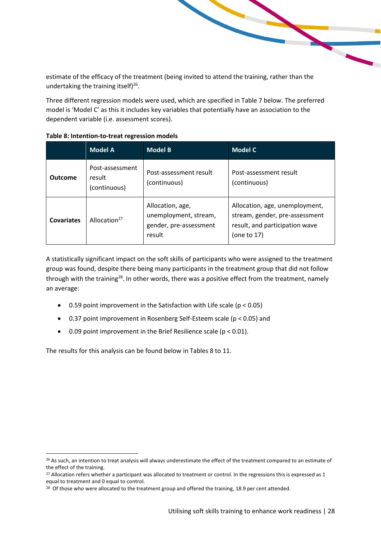estimate of the efficacy of the treatment (being invited to attend the training, rather than the undertaking the training itself)<sup>26</sup>.

Three different regression models were used, which are specified in Table 7 below. The preferred model is 'Model C' as this it includes key variables that potentially have an association to the dependent variable (i.e. assessment scores).

|                | <b>Model A</b>                            | <b>Model B</b>                                                                | <b>Model C</b>                                                                                                       |
|----------------|-------------------------------------------|-------------------------------------------------------------------------------|----------------------------------------------------------------------------------------------------------------------|
| <b>Outcome</b> | Post-assessment<br>result<br>(continuous) | Post-assessment result<br>(continuous)                                        | Post-assessment result<br>(continuous)                                                                               |
| Covariates     | Allocation <sup>27</sup>                  | Allocation, age,<br>unemployment, stream,<br>gender, pre-assessment<br>result | Allocation, age, unemployment,<br>stream, gender, pre-assessment<br>result, and participation wave<br>(one to $17$ ) |

#### <span id="page-27-0"></span>**Table 8: Intention-to-treat regression models**

A statistically significant impact on the soft skills of participants who were assigned to the treatment group was found, despite there being many participants in the treatment group that did not follow through with the training<sup>28</sup>. In other words, there was a positive effect from the treatment, namely an average:

- 0.59 point improvement in the Satisfaction with Life scale ( $p < 0.05$ )
- 0.37 point improvement in Rosenberg Self-Esteem scale (p < 0.05) and
- 0.09 point improvement in the Brief Resilience scale ( $p < 0.01$ ).

The results for this analysis can be found below in Tables 8 to 11.

<sup>&</sup>lt;sup>26</sup> As such, an intention to treat analysis will always underestimate the effect of the treatment compared to an estimate of the effect of the training.

<sup>&</sup>lt;sup>27</sup> Allocation refers whether a participant was allocated to treatment or control. In the regressions this is expressed as 1 equal to treatment and 0 equal to control.

<sup>&</sup>lt;sup>28</sup> Of those who were allocated to the treatment group and offered the training, 18.9 per cent attended.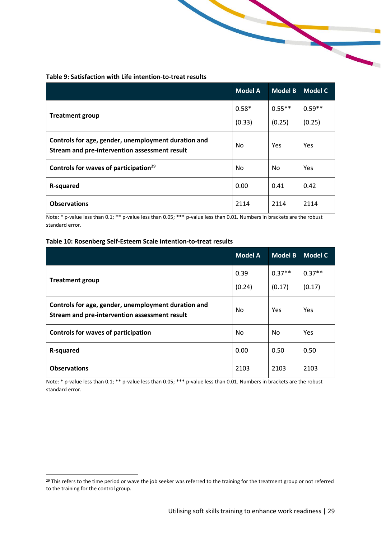#### <span id="page-28-0"></span>**Table 9: Satisfaction with Life intention-to-treat results**

|                                                                                                      | <b>Model A</b> | <b>Model B</b> | <b>Model C</b> |
|------------------------------------------------------------------------------------------------------|----------------|----------------|----------------|
| <b>Treatment group</b>                                                                               | $0.58*$        | $0.55***$      | $0.59**$       |
|                                                                                                      | (0.33)         | (0.25)         | (0.25)         |
| Controls for age, gender, unemployment duration and<br>Stream and pre-intervention assessment result | No.            | Yes            | Yes            |
| Controls for waves of participation <sup>29</sup>                                                    | No             | No             | Yes            |
| R-squared                                                                                            | 0.00           | 0.41           | 0.42           |
| <b>Observations</b>                                                                                  | 2114           | 2114           | 2114           |

Note: \* p-value less than 0.1; \*\* p-value less than 0.05; \*\*\* p-value less than 0.01. Numbers in brackets are the robust standard error.

#### <span id="page-28-1"></span>**Table 10: Rosenberg Self-Esteem Scale intention-to-treat results**

|                                                                                                      | <b>Model A</b> | <b>Model B</b> | <b>Model C</b> |
|------------------------------------------------------------------------------------------------------|----------------|----------------|----------------|
| <b>Treatment group</b>                                                                               | 0.39           | $0.37**$       | $0.37**$       |
|                                                                                                      | (0.24)         | (0.17)         | (0.17)         |
| Controls for age, gender, unemployment duration and<br>Stream and pre-intervention assessment result | No             | Yes            | Yes            |
| <b>Controls for waves of participation</b>                                                           | No             | No.            | Yes            |
| <b>R-squared</b>                                                                                     | 0.00           | 0.50           | 0.50           |
| <b>Observations</b>                                                                                  | 2103           | 2103           | 2103           |

Note: \* p-value less than 0.1; \*\* p-value less than 0.05; \*\*\* p-value less than 0.01. Numbers in brackets are the robust standard error.

<sup>&</sup>lt;sup>29</sup> This refers to the time period or wave the job seeker was referred to the training for the treatment group or not referred to the training for the control group.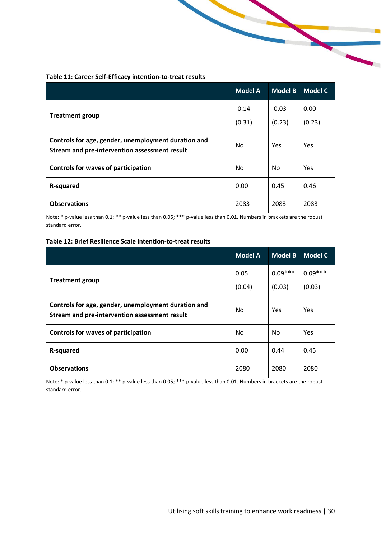<span id="page-29-0"></span>

| Table 11: Career Self-Efficacy intention-to-treat results |  |  |
|-----------------------------------------------------------|--|--|
|-----------------------------------------------------------|--|--|

|                                                                                                      | <b>Model A</b> | <b>Model B</b> | <b>Model C</b> |
|------------------------------------------------------------------------------------------------------|----------------|----------------|----------------|
| <b>Treatment group</b>                                                                               | $-0.14$        | $-0.03$        | 0.00           |
|                                                                                                      | (0.31)         | (0.23)         | (0.23)         |
| Controls for age, gender, unemployment duration and<br>Stream and pre-intervention assessment result | No             | Yes            | Yes            |
| <b>Controls for waves of participation</b>                                                           | No             | <b>No</b>      | Yes            |
| R-squared                                                                                            | 0.00           | 0.45           | 0.46           |
| <b>Observations</b>                                                                                  | 2083           | 2083           | 2083           |

Note: \* p-value less than 0.1; \*\* p-value less than 0.05; \*\*\* p-value less than 0.01. Numbers in brackets are the robust standard error.

#### <span id="page-29-1"></span>**Table 12: Brief Resilience Scale intention-to-treat results**

|                                                                                                      | <b>Model A</b> | <b>Model B</b> | <b>Model C</b> |
|------------------------------------------------------------------------------------------------------|----------------|----------------|----------------|
| <b>Treatment group</b>                                                                               | 0.05           | $0.09***$      | $0.09***$      |
|                                                                                                      | (0.04)         | (0.03)         | (0.03)         |
| Controls for age, gender, unemployment duration and<br>Stream and pre-intervention assessment result | No             | <b>Yes</b>     | Yes            |
| <b>Controls for waves of participation</b>                                                           | No             | No.            | Yes            |
| <b>R-squared</b>                                                                                     | 0.00           | 0.44           | 0.45           |
| <b>Observations</b>                                                                                  | 2080           | 2080           | 2080           |

Note: \* p-value less than 0.1; \*\* p-value less than 0.05; \*\*\* p-value less than 0.01. Numbers in brackets are the robust standard error.